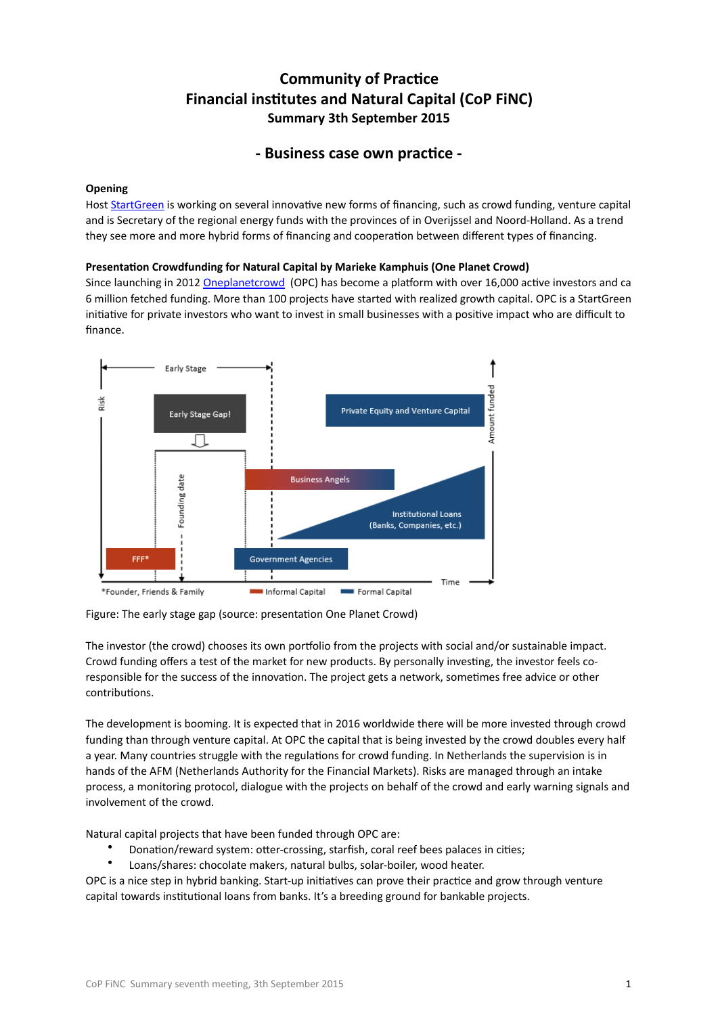# **Community of Practice Financial institutes and Natural Capital (CoP FINC) Summary 3th September 2015**

# - Business case own practice -

## **Opening**

Host [StartGreen](http://www.startgreen.nl/nl/) is working on several innovative new forms of financing, such as crowd funding, venture capital and is Secretary of the regional energy funds with the provinces of in Overijssel and Noord-Holland. As a trend they see more and more hybrid forms of financing and cooperation between different types of financing.

## **Presentation Crowdfunding for Natural Capital by Marieke Kamphuis (One Planet Crowd)**

Since launching in 2012 Oneplanetcrowd (OPC) has become a platform with over 16,000 active investors and ca 6 million fetched funding. More than 100 projects have started with realized growth capital. OPC is a StartGreen initiative for private investors who want to invest in small businesses with a positive impact who are difficult to finance.



Figure: The early stage gap (source: presentation One Planet Crowd)

The investor (the crowd) chooses its own portfolio from the projects with social and/or sustainable impact. Crowd funding offers a test of the market for new products. By personally investing, the investor feels coresponsible for the success of the innovation. The project gets a network, sometimes free advice or other contributions.

The development is booming. It is expected that in 2016 worldwide there will be more invested through crowd funding than through venture capital. At OPC the capital that is being invested by the crowd doubles every half a year. Many countries struggle with the regulations for crowd funding. In Netherlands the supervision is in hands of the AFM (Netherlands Authority for the Financial Markets). Risks are managed through an intake process, a monitoring protocol, dialogue with the projects on behalf of the crowd and early warning signals and involvement of the crowd.

Natural capital projects that have been funded through OPC are:

- Donation/reward system: otter-crossing, starfish, coral reef bees palaces in cities;
- Loans/shares: chocolate makers, natural bulbs, solar-boiler, wood heater.

OPC is a nice step in hybrid banking. Start-up initiatives can prove their practice and grow through venture capital towards institutional loans from banks. It's a breeding ground for bankable projects.